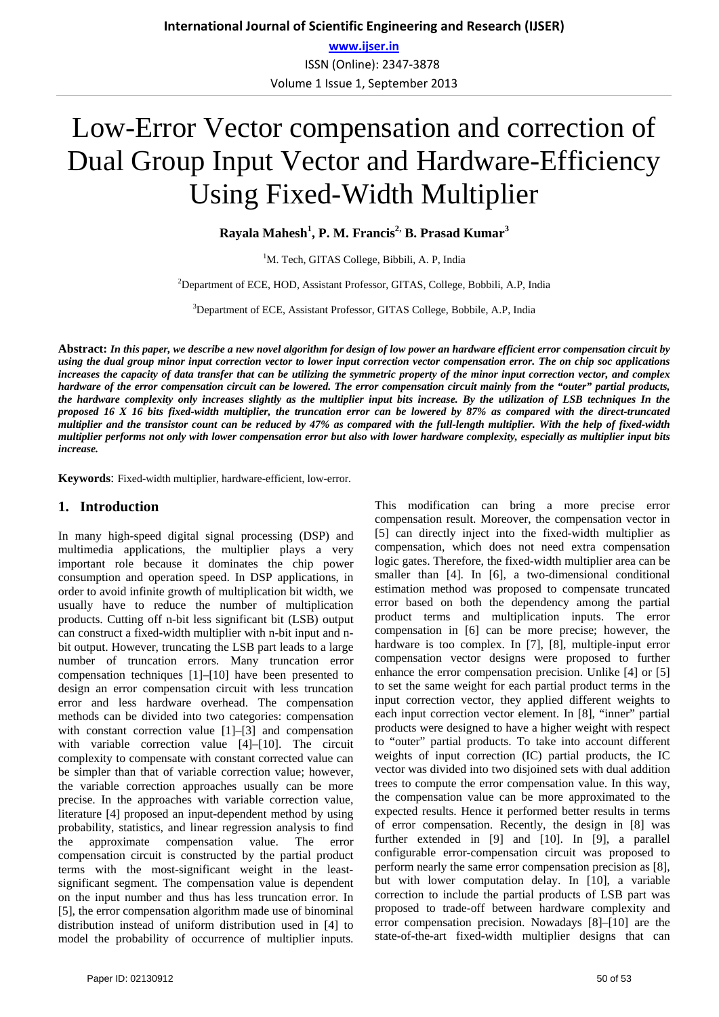# Low-Error Vector compensation and correction of Dual Group Input Vector and Hardware-Efficiency Using Fixed-Width Multiplier

**Rayala Mahesh<sup>1</sup> , P. M. Francis2, B. Prasad Kumar3** 

<sup>1</sup>M. Tech, GITAS College, Bibbili, A. P, India

2 Department of ECE, HOD, Assistant Professor, GITAS, College, Bobbili, A.P, India

<sup>3</sup>Department of ECE, Assistant Professor, GITAS College, Bobbile, A.P, India

**Abstract:** *In this paper, we describe a new novel algorithm for design of low power an hardware efficient error compensation circuit by using the dual group minor input correction vector to lower input correction vector compensation error. The on chip soc applications increases the capacity of data transfer that can be utilizing the symmetric property of the minor input correction vector, and complex hardware of the error compensation circuit can be lowered. The error compensation circuit mainly from the "outer" partial products, the hardware complexity only increases slightly as the multiplier input bits increase. By the utilization of LSB techniques In the proposed 16 X 16 bits fixed-width multiplier, the truncation error can be lowered by 87% as compared with the direct-truncated multiplier and the transistor count can be reduced by 47% as compared with the full-length multiplier. With the help of fixed-width multiplier performs not only with lower compensation error but also with lower hardware complexity, especially as multiplier input bits increase.*

**Keywords**: Fixed-width multiplier, hardware-efficient, low-error.

#### **1. Introduction**

In many high-speed digital signal processing (DSP) and multimedia applications, the multiplier plays a very important role because it dominates the chip power consumption and operation speed. In DSP applications, in order to avoid infinite growth of multiplication bit width, we usually have to reduce the number of multiplication products. Cutting off n-bit less significant bit (LSB) output can construct a fixed-width multiplier with n-bit input and nbit output. However, truncating the LSB part leads to a large number of truncation errors. Many truncation error compensation techniques [1]–[10] have been presented to design an error compensation circuit with less truncation error and less hardware overhead. The compensation methods can be divided into two categories: compensation with constant correction value [1]–[3] and compensation with variable correction value [4]–[10]. The circuit complexity to compensate with constant corrected value can be simpler than that of variable correction value; however, the variable correction approaches usually can be more precise. In the approaches with variable correction value, literature [4] proposed an input-dependent method by using probability, statistics, and linear regression analysis to find the approximate compensation value. The error compensation circuit is constructed by the partial product terms with the most-significant weight in the leastsignificant segment. The compensation value is dependent on the input number and thus has less truncation error. In [5], the error compensation algorithm made use of binominal distribution instead of uniform distribution used in [4] to model the probability of occurrence of multiplier inputs.

compensation result. Moreover, the compensation vector in [5] can directly inject into the fixed-width multiplier as compensation, which does not need extra compensation logic gates. Therefore, the fixed-width multiplier area can be smaller than [4]. In [6], a two-dimensional conditional estimation method was proposed to compensate truncated error based on both the dependency among the partial product terms and multiplication inputs. The error compensation in [6] can be more precise; however, the hardware is too complex. In [7], [8], multiple-input error compensation vector designs were proposed to further enhance the error compensation precision. Unlike [4] or [5] to set the same weight for each partial product terms in the input correction vector, they applied different weights to each input correction vector element. In [8], "inner" partial products were designed to have a higher weight with respect to "outer" partial products. To take into account different weights of input correction (IC) partial products, the IC vector was divided into two disjoined sets with dual addition trees to compute the error compensation value. In this way, the compensation value can be more approximated to the expected results. Hence it performed better results in terms of error compensation. Recently, the design in [8] was further extended in [9] and [10]. In [9], a parallel configurable error-compensation circuit was proposed to perform nearly the same error compensation precision as [8], but with lower computation delay. In [10], a variable correction to include the partial products of LSB part was proposed to trade-off between hardware complexity and error compensation precision. Nowadays [8]–[10] are the state-of-the-art fixed-width multiplier designs that can

This modification can bring a more precise error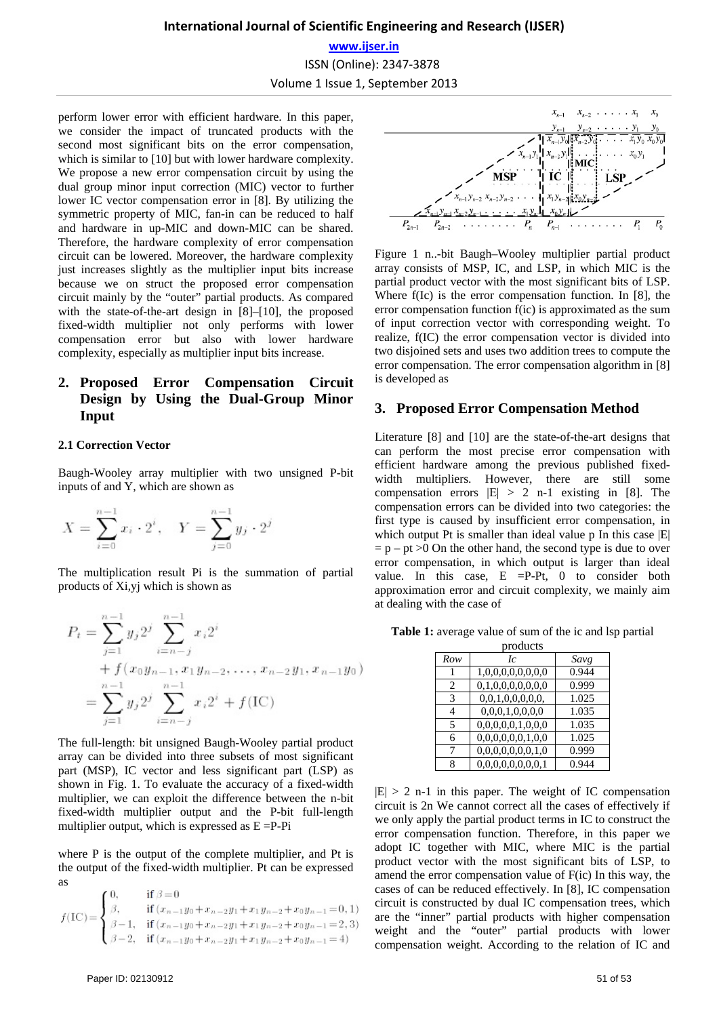# **International Journal of Scientific Engineering and Research (IJSER) www.ijser.in** ISSN (Online): 2347-3878 Volume 1 Issue 1, September 2013

perform lower error with efficient hardware. In this paper, we consider the impact of truncated products with the second most significant bits on the error compensation, which is similar to [10] but with lower hardware complexity. We propose a new error compensation circuit by using the dual group minor input correction (MIC) vector to further lower IC vector compensation error in [8]. By utilizing the symmetric property of MIC, fan-in can be reduced to half and hardware in up-MIC and down-MIC can be shared. Therefore, the hardware complexity of error compensation circuit can be lowered. Moreover, the hardware complexity just increases slightly as the multiplier input bits increase because we on struct the proposed error compensation circuit mainly by the "outer" partial products. As compared with the state-of-the-art design in [8]–[10], the proposed fixed-width multiplier not only performs with lower compensation error but also with lower hardware complexity, especially as multiplier input bits increase.

## **2. Proposed Error Compensation Circuit Design by Using the Dual-Group Minor Input**

#### **2.1 Correction Vector**

Baugh-Wooley array multiplier with two unsigned P-bit inputs of and Y, which are shown as

$$
X = \sum_{i=0}^{n-1} x_i \cdot 2^i, \quad Y = \sum_{j=0}^{n-1} y_j \cdot 2^j
$$

The multiplication result Pi is the summation of partial products of Xi,yj which is shown as

$$
P_t = \sum_{j=1}^{n-1} y_j 2^j \sum_{i=n-j}^{n-1} x_i 2^i
$$
  
+  $f(x_0y_{n-1}, x_1y_{n-2}, \dots, x_{n-2}y_1, x_{n-1}y_0)$   
=  $\sum_{j=1}^{n-1} y_j 2^j \sum_{i=n-j}^{n-1} x_i 2^i + f(\text{IC})$ 

The full-length: bit unsigned Baugh-Wooley partial product array can be divided into three subsets of most significant part (MSP), IC vector and less significant part (LSP) as shown in Fig. 1. To evaluate the accuracy of a fixed-width multiplier, we can exploit the difference between the n-bit fixed-width multiplier output and the P-bit full-length multiplier output, which is expressed as  $E = P-Pi$ 

where P is the output of the complete multiplier, and Pt is the output of the fixed-width multiplier. Pt can be expressed as

$$
f(\text{IC}) = \begin{cases} 0, & \text{if } \beta = 0 \\ \beta, & \text{if } (x_{n-1}y_0 + x_{n-2}y_1 + x_1y_{n-2} + x_0y_{n-1} = 0, 1) \\ \beta - 1, & \text{if } (x_{n-1}y_0 + x_{n-2}y_1 + x_1y_{n-2} + x_0y_{n-1} = 2, 3) \\ \beta - 2, & \text{if } (x_{n-1}y_0 + x_{n-2}y_1 + x_1y_{n-2} + x_0y_{n-1} = 4) \end{cases}
$$



Figure 1 n..-bit Baugh–Wooley multiplier partial product array consists of MSP, IC, and LSP, in which MIC is the partial product vector with the most significant bits of LSP. Where f(Ic) is the error compensation function. In [8], the error compensation function f(ic) is approximated as the sum of input correction vector with corresponding weight. To realize, f(IC) the error compensation vector is divided into two disjoined sets and uses two addition trees to compute the error compensation. The error compensation algorithm in [8] is developed as

#### **3. Proposed Error Compensation Method**

Literature [8] and [10] are the state-of-the-art designs that can perform the most precise error compensation with efficient hardware among the previous published fixedwidth multipliers. However, there are still some compensation errors |Ε| > 2 n-1 existing in [8]. The compensation errors can be divided into two categories: the first type is caused by insufficient error compensation, in which output Pt is smaller than ideal value p In this case  $|E|$  $= p - pt > 0$  On the other hand, the second type is due to over error compensation, in which output is larger than ideal value. In this case, E =P-Pt, 0 to consider both approximation error and circuit complexity, we mainly aim at dealing with the case of

**Table 1:** average value of sum of the ic and lsp partial

| products |                   |       |
|----------|-------------------|-------|
| Row      | Ic                | Savg  |
|          | 1,0,0,0,0,0,0,0,0 | 0.944 |
| 2        | 0,1,0,0,0,0,0,0,0 | 0.999 |
| 3        | 0,0,1,0,0,0,0,0,  | 1.025 |
|          | 0,0,0,1,0,0,0,0   | 1.035 |
| 5        | 0,0,0,0,0,1,0,0,0 | 1.035 |
| 6        | 0,0,0,0,0,0,1,0,0 | 1.025 |
|          | 0,0,0,0,0,0,0,1,0 | 0.999 |
| 8        | 0.0.0.0.0.0.0.0.1 | 0.944 |

 $|E| > 2$  n-1 in this paper. The weight of IC compensation circuit is 2n We cannot correct all the cases of effectively if we only apply the partial product terms in IC to construct the error compensation function. Therefore, in this paper we adopt IC together with MIC, where MIC is the partial product vector with the most significant bits of LSP, to amend the error compensation value of F(ic) In this way, the cases of can be reduced effectively. In [8], IC compensation circuit is constructed by dual IC compensation trees, which are the "inner" partial products with higher compensation weight and the "outer" partial products with lower compensation weight. According to the relation of IC and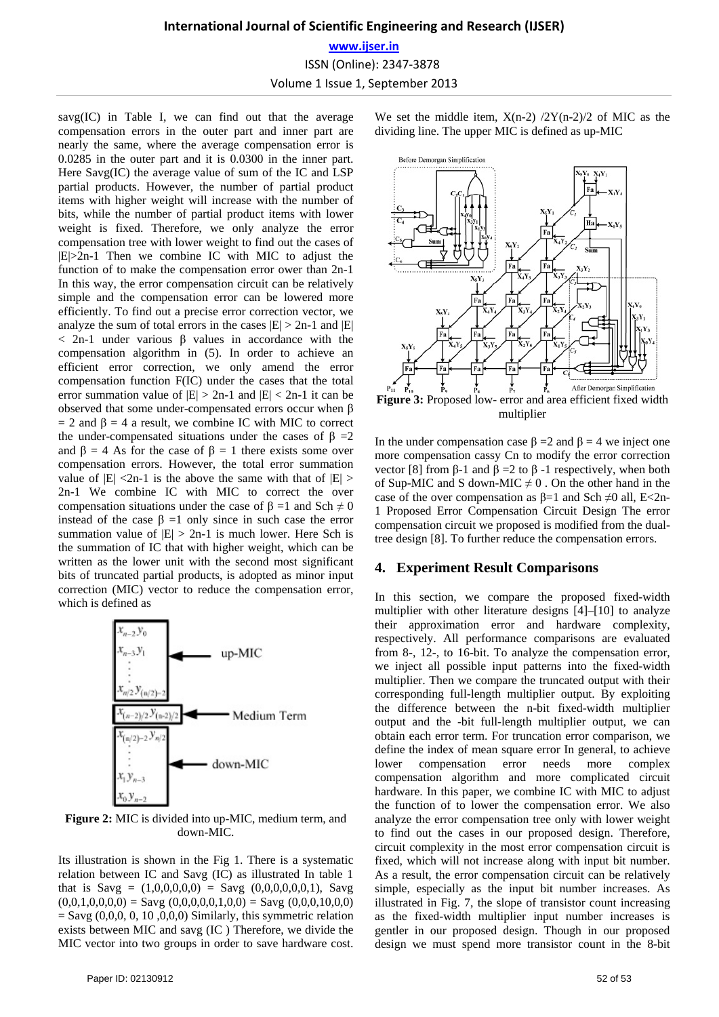# **International Journal of Scientific Engineering and Research (IJSER) www.ijser.in** ISSN (Online): 2347-3878 Volume 1 Issue 1, September 2013

savg(IC) in Table I, we can find out that the average compensation errors in the outer part and inner part are nearly the same, where the average compensation error is 0.0285 in the outer part and it is 0.0300 in the inner part. Here Savg(IC) the average value of sum of the IC and LSP partial products. However, the number of partial product items with higher weight will increase with the number of bits, while the number of partial product items with lower weight is fixed. Therefore, we only analyze the error compensation tree with lower weight to find out the cases of  $|E|>2n-1$  Then we combine IC with MIC to adjust the function of to make the compensation error ower than 2n-1 In this way, the error compensation circuit can be relatively simple and the compensation error can be lowered more efficiently. To find out a precise error correction vector, we analyze the sum of total errors in the cases  $|E| > 2n-1$  and  $|E|$ < 2n-1 under various β values in accordance with the compensation algorithm in (5). In order to achieve an efficient error correction, we only amend the error compensation function F(IC) under the cases that the total error summation value of  $|E| > 2n-1$  and  $|E| < 2n-1$  it can be observed that some under-compensated errors occur when β  $= 2$  and  $\beta = 4$  a result, we combine IC with MIC to correct the under-compensated situations under the cases of  $\beta = 2$ and  $\beta = 4$  As for the case of  $\beta = 1$  there exists some over compensation errors. However, the total error summation value of  $|E|$  <2n-1 is the above the same with that of  $|E|$  > 2n-1 We combine IC with MIC to correct the over compensation situations under the case of  $\beta = 1$  and Sch  $\neq 0$ instead of the case  $\beta = 1$  only since in such case the error summation value of  $|E| > 2n-1$  is much lower. Here Sch is the summation of IC that with higher weight, which can be written as the lower unit with the second most significant bits of truncated partial products, is adopted as minor input correction (MIC) vector to reduce the compensation error, which is defined as



**Figure 2:** MIC is divided into up-MIC, medium term, and down-MIC.

Its illustration is shown in the Fig 1. There is a systematic relation between IC and Savg (IC) as illustrated In table 1 that is Savg =  $(1,0,0,0,0,0)$  = Savg  $(0,0,0,0,0,0,1)$ , Savg  $(0,0,1,0,0,0,0) =$  Savg  $(0,0,0,0,0,1,0,0) =$  Savg  $(0,0,0,10,0,0)$  $=$  Savg (0,0,0, 0, 10,0,0,0) Similarly, this symmetric relation exists between MIC and savg (IC ) Therefore, we divide the MIC vector into two groups in order to save hardware cost. We set the middle item,  $X(n-2)$  /2Y(n-2)/2 of MIC as the dividing line. The upper MIC is defined as up-MIC



In the under compensation case  $\beta = 2$  and  $\beta = 4$  we inject one more compensation cassy Cn to modify the error correction vector [8] from β-1 and β = 2 to β - 1 respectively, when both of Sup-MIC and S down-MIC  $\neq$  0. On the other hand in the case of the over compensation as  $\beta = 1$  and Sch  $\neq 0$  all, E $\lt$ 2n-1 Proposed Error Compensation Circuit Design The error compensation circuit we proposed is modified from the dualtree design [8]. To further reduce the compensation errors.

#### **4. Experiment Result Comparisons**

In this section, we compare the proposed fixed-width multiplier with other literature designs [4]–[10] to analyze their approximation error and hardware complexity, respectively. All performance comparisons are evaluated from 8-, 12-, to 16-bit. To analyze the compensation error, we inject all possible input patterns into the fixed-width multiplier. Then we compare the truncated output with their corresponding full-length multiplier output. By exploiting the difference between the n-bit fixed-width multiplier output and the -bit full-length multiplier output, we can obtain each error term. For truncation error comparison, we define the index of mean square error In general, to achieve lower compensation error needs more complex compensation algorithm and more complicated circuit hardware. In this paper, we combine IC with MIC to adjust the function of to lower the compensation error. We also analyze the error compensation tree only with lower weight to find out the cases in our proposed design. Therefore, circuit complexity in the most error compensation circuit is fixed, which will not increase along with input bit number. As a result, the error compensation circuit can be relatively simple, especially as the input bit number increases. As illustrated in Fig. 7, the slope of transistor count increasing as the fixed-width multiplier input number increases is gentler in our proposed design. Though in our proposed design we must spend more transistor count in the 8-bit